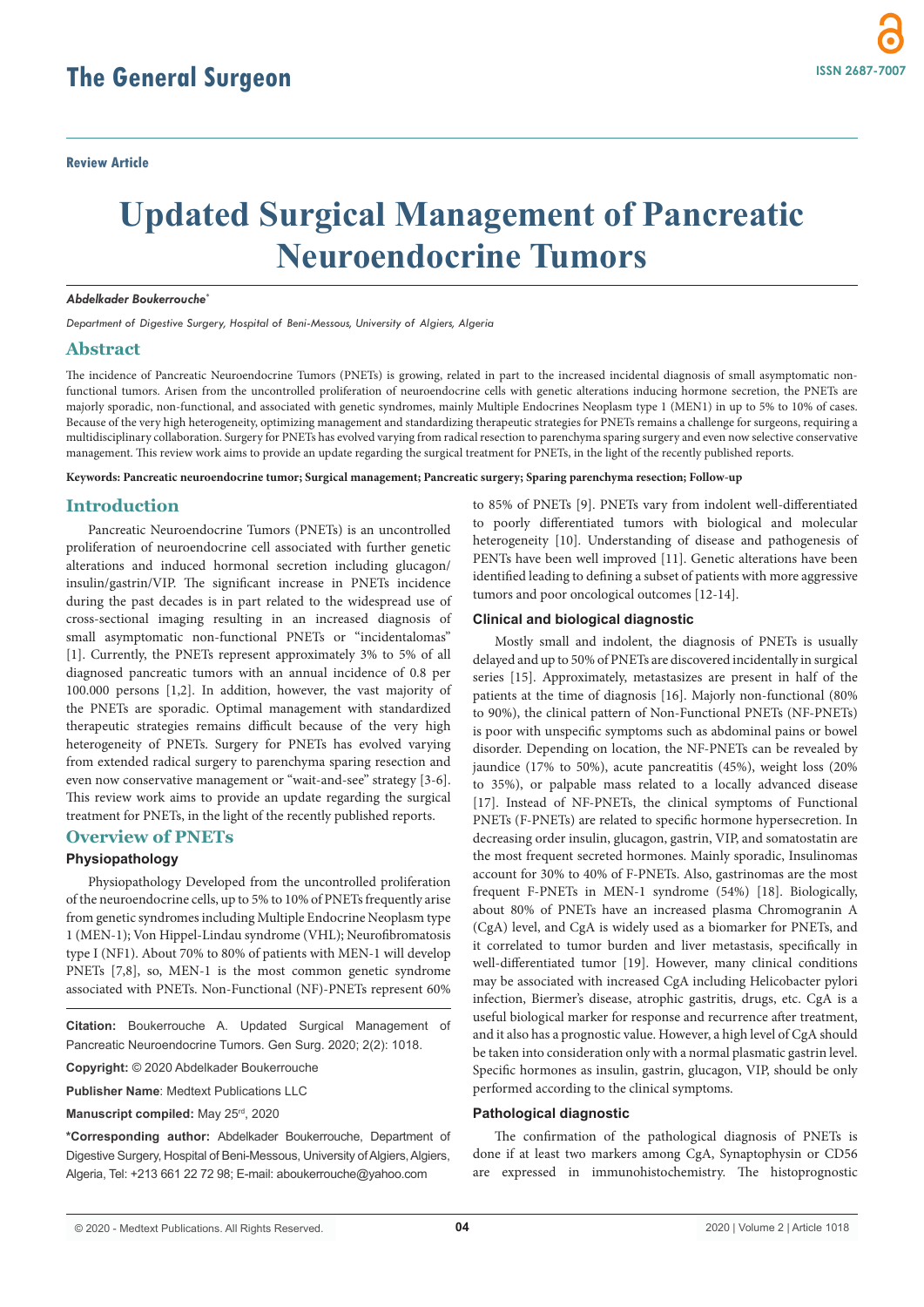# **Updated Surgical Management of Pancreatic Neuroendocrine Tumors**

#### *Abdelkader Boukerrouche\**

*Department of Digestive Surgery, Hospital of Beni-Messous, University of Algiers, Algeria*

# **Abstract**

The incidence of Pancreatic Neuroendocrine Tumors (PNETs) is growing, related in part to the increased incidental diagnosis of small asymptomatic nonfunctional tumors. Arisen from the uncontrolled proliferation of neuroendocrine cells with genetic alterations inducing hormone secretion, the PNETs are majorly sporadic, non-functional, and associated with genetic syndromes, mainly Multiple Endocrines Neoplasm type 1 (MEN1) in up to 5% to 10% of cases. Because of the very high heterogeneity, optimizing management and standardizing therapeutic strategies for PNETs remains a challenge for surgeons, requiring a multidisciplinary collaboration. Surgery for PNETs has evolved varying from radical resection to parenchyma sparing surgery and even now selective conservative management. This review work aims to provide an update regarding the surgical treatment for PNETs, in the light of the recently published reports.

**Keywords: Pancreatic neuroendocrine tumor; Surgical management; Pancreatic surgery; Sparing parenchyma resection; Follow-up**

# **Introduction**

Pancreatic Neuroendocrine Tumors (PNETs) is an uncontrolled proliferation of neuroendocrine cell associated with further genetic alterations and induced hormonal secretion including glucagon/ insulin/gastrin/VIP. The significant increase in PNETs incidence during the past decades is in part related to the widespread use of cross-sectional imaging resulting in an increased diagnosis of small asymptomatic non-functional PNETs or "incidentalomas" [1]. Currently, the PNETs represent approximately 3% to 5% of all diagnosed pancreatic tumors with an annual incidence of 0.8 per 100.000 persons [1,2]. In addition, however, the vast majority of the PNETs are sporadic. Optimal management with standardized therapeutic strategies remains difficult because of the very high heterogeneity of PNETs. Surgery for PNETs has evolved varying from extended radical surgery to parenchyma sparing resection and even now conservative management or "wait-and-see" strategy [3-6]. This review work aims to provide an update regarding the surgical treatment for PNETs, in the light of the recently published reports.

## **Overview of PNETs**

## **Physiopathology**

Physiopathology Developed from the uncontrolled proliferation of the neuroendocrine cells, up to 5% to 10% of PNETs frequently arise from genetic syndromes including Multiple Endocrine Neoplasm type 1 (MEN-1); Von Hippel-Lindau syndrome (VHL); Neurofibromatosis type I (NF1). About 70% to 80% of patients with MEN-1 will develop PNETs [7,8], so, MEN-1 is the most common genetic syndrome associated with PNETs. Non-Functional (NF)-PNETs represent 60%

**Citation:** Boukerrouche A. Updated Surgical Management of Pancreatic Neuroendocrine Tumors. Gen Surg. 2020; 2(2): 1018.

**Copyright:** © 2020 Abdelkader Boukerrouche

**Publisher Name**: Medtext Publications LLC

**Manuscript compiled:** May 25rd, 2020

**\*Corresponding author:** Abdelkader Boukerrouche, Department of Digestive Surgery, Hospital of Beni-Messous, University of Algiers, Algiers, Algeria, Tel: +213 661 22 72 98; E-mail: aboukerrouche@yahoo.com

to 85% of PNETs [9]. PNETs vary from indolent well-differentiated to poorly differentiated tumors with biological and molecular heterogeneity [10]. Understanding of disease and pathogenesis of PENTs have been well improved [11]. Genetic alterations have been identified leading to defining a subset of patients with more aggressive tumors and poor oncological outcomes [12-14].

### **Clinical and biological diagnostic**

Mostly small and indolent, the diagnosis of PNETs is usually delayed and up to 50% of PNETs are discovered incidentally in surgical series [15]. Approximately, metastasizes are present in half of the patients at the time of diagnosis [16]. Majorly non-functional (80% to 90%), the clinical pattern of Non-Functional PNETs (NF-PNETs) is poor with unspecific symptoms such as abdominal pains or bowel disorder. Depending on location, the NF-PNETs can be revealed by jaundice (17% to 50%), acute pancreatitis (45%), weight loss (20% to 35%), or palpable mass related to a locally advanced disease [17]. Instead of NF-PNETs, the clinical symptoms of Functional PNETs (F-PNETs) are related to specific hormone hypersecretion. In decreasing order insulin, glucagon, gastrin, VIP, and somatostatin are the most frequent secreted hormones. Mainly sporadic, Insulinomas account for 30% to 40% of F-PNETs. Also, gastrinomas are the most frequent F-PNETs in MEN-1 syndrome (54%) [18]. Biologically, about 80% of PNETs have an increased plasma Chromogranin A (CgA) level, and CgA is widely used as a biomarker for PNETs, and it correlated to tumor burden and liver metastasis, specifically in well-differentiated tumor [19]. However, many clinical conditions may be associated with increased CgA including Helicobacter pylori infection, Biermer's disease, atrophic gastritis, drugs, etc. CgA is a useful biological marker for response and recurrence after treatment, and it also has a prognostic value. However, a high level of CgA should be taken into consideration only with a normal plasmatic gastrin level. Specific hormones as insulin, gastrin, glucagon, VIP, should be only performed according to the clinical symptoms.

# **Pathological diagnostic**

The confirmation of the pathological diagnosis of PNETs is done if at least two markers among CgA, Synaptophysin or CD56 are expressed in immunohistochemistry. The histoprognostic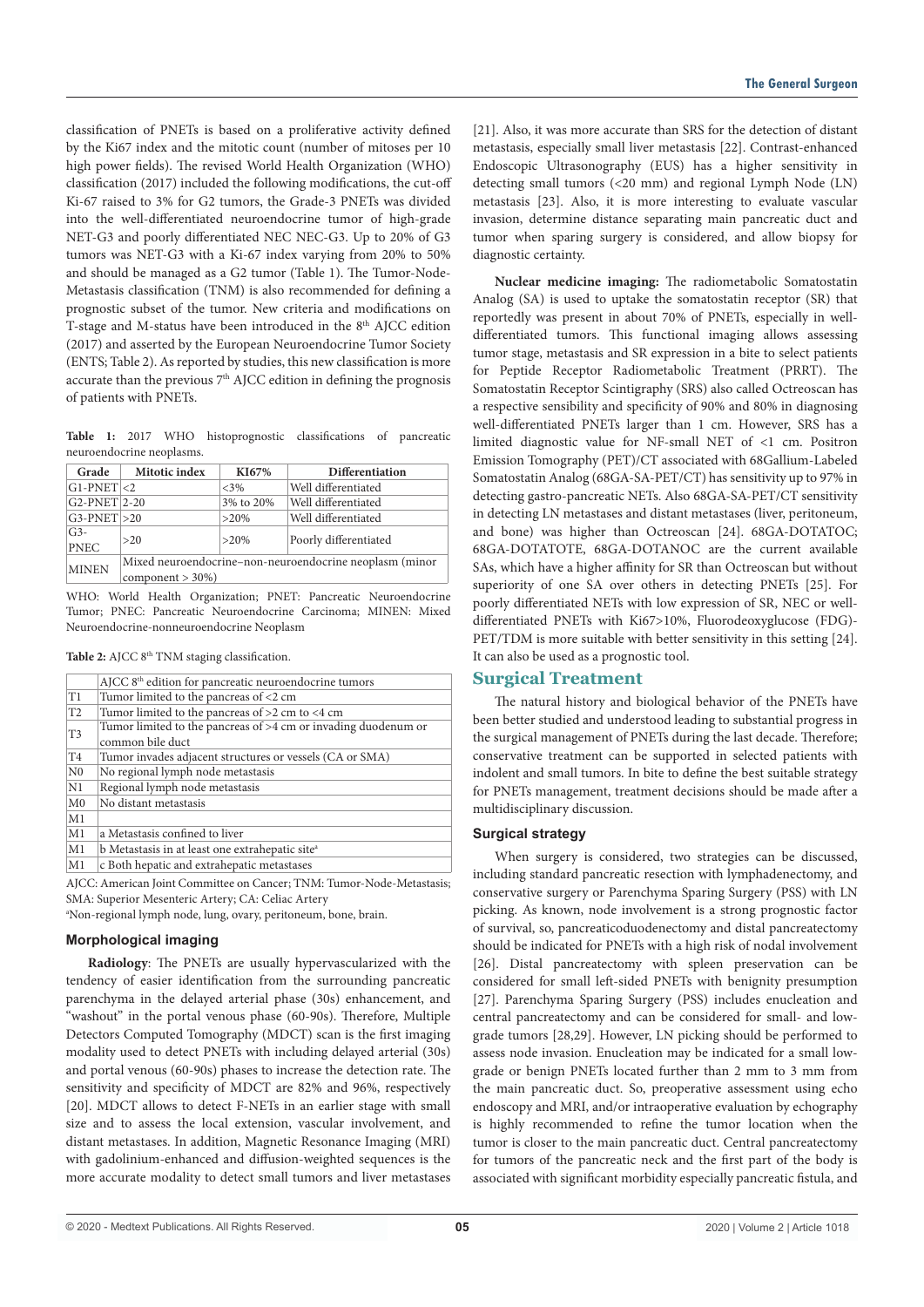classification of PNETs is based on a proliferative activity defined by the Ki67 index and the mitotic count (number of mitoses per 10 high power fields). The revised World Health Organization (WHO) classification (2017) included the following modifications, the cut-off Ki-67 raised to 3% for G2 tumors, the Grade-3 PNETs was divided into the well-differentiated neuroendocrine tumor of high-grade NET-G3 and poorly differentiated NEC NEC-G3. Up to 20% of G3 tumors was NET-G3 with a Ki-67 index varying from 20% to 50% and should be managed as a G2 tumor (Table 1). The Tumor-Node-Metastasis classification (TNM) is also recommended for defining a prognostic subset of the tumor. New criteria and modifications on T-stage and M-status have been introduced in the 8<sup>th</sup> AJCC edition (2017) and asserted by the European Neuroendocrine Tumor Society (ENTS; Table 2). As reported by studies, this new classification is more accurate than the previous  $7<sup>th</sup>$  AJCC edition in defining the prognosis of patients with PNETs.

**Table 1:** 2017 WHO histoprognostic classifications of pancreatic neuroendocrine neoplasms.

| Grade                | <b>Mitotic index</b>                                                           | KI67%     | Differentiation       |
|----------------------|--------------------------------------------------------------------------------|-----------|-----------------------|
| $G1-PNET < 2$        |                                                                                | $<3\%$    | Well differentiated   |
| $G2-PNET$ 2-20       |                                                                                | 3% to 20% | Well differentiated   |
| $G3-PNET > 20$       |                                                                                | $>20\%$   | Well differentiated   |
| $G3-$<br><b>PNEC</b> | >20                                                                            | $>20\%$   | Poorly differentiated |
| <b>MINEN</b>         | Mixed neuroendocrine-non-neuroendocrine neoplasm (minor<br>$component > 30\%)$ |           |                       |

WHO: World Health Organization; PNET: Pancreatic Neuroendocrine Tumor; PNEC: Pancreatic Neuroendocrine Carcinoma; MINEN: Mixed Neuroendocrine-nonneuroendocrine Neoplasm

| Table 2: AJCC 8 <sup>th</sup> TNM staging classification. |  |  |
|-----------------------------------------------------------|--|--|
|-----------------------------------------------------------|--|--|

|                | AJCC 8 <sup>th</sup> edition for pancreatic neuroendocrine tumors     |
|----------------|-----------------------------------------------------------------------|
| T <sub>1</sub> | Tumor limited to the pancreas of <2 cm                                |
| T <sub>2</sub> | Tumor limited to the pancreas of $>2$ cm to $<4$ cm                   |
| T3             | Tumor limited to the pancreas of $>4$ cm or invading duodenum or      |
|                | common bile duct                                                      |
| T <sub>4</sub> | Tumor invades adjacent structures or vessels (CA or SMA)              |
| N <sub>0</sub> | No regional lymph node metastasis                                     |
| N1             | Regional lymph node metastasis                                        |
| M <sub>0</sub> | No distant metastasis                                                 |
| M1             |                                                                       |
| M1             | a Metastasis confined to liver                                        |
| M1             | b Metastasis in at least one extrahepatic site <sup>a</sup>           |
| M1             | c Both hepatic and extrahepatic metastases                            |
|                | AICC: American Joint Committee on Cancer: TNM: Tumor-Node-Metastasis: |

AJCC: American Joint Committee on Cancer; TNM: Tumor-Node-Metastasis; SMA: Superior Mesenteric Artery; CA: Celiac Artery

a Non-regional lymph node, lung, ovary, peritoneum, bone, brain.

# **Morphological imaging**

**Radiology**: The PNETs are usually hypervascularized with the tendency of easier identification from the surrounding pancreatic parenchyma in the delayed arterial phase (30s) enhancement, and "washout" in the portal venous phase (60-90s). Therefore, Multiple Detectors Computed Tomography (MDCT) scan is the first imaging modality used to detect PNETs with including delayed arterial (30s) and portal venous (60-90s) phases to increase the detection rate. The sensitivity and specificity of MDCT are 82% and 96%, respectively [20]. MDCT allows to detect F-NETs in an earlier stage with small size and to assess the local extension, vascular involvement, and distant metastases. In addition, Magnetic Resonance Imaging (MRI) with gadolinium-enhanced and diffusion-weighted sequences is the more accurate modality to detect small tumors and liver metastases [21]. Also, it was more accurate than SRS for the detection of distant metastasis, especially small liver metastasis [22]. Contrast-enhanced Endoscopic Ultrasonography (EUS) has a higher sensitivity in detecting small tumors (<20 mm) and regional Lymph Node (LN) metastasis [23]. Also, it is more interesting to evaluate vascular invasion, determine distance separating main pancreatic duct and tumor when sparing surgery is considered, and allow biopsy for diagnostic certainty.

**Nuclear medicine imaging:** The radiometabolic Somatostatin Analog (SA) is used to uptake the somatostatin receptor (SR) that reportedly was present in about 70% of PNETs, especially in welldifferentiated tumors. This functional imaging allows assessing tumor stage, metastasis and SR expression in a bite to select patients for Peptide Receptor Radiometabolic Treatment (PRRT). The Somatostatin Receptor Scintigraphy (SRS) also called Octreoscan has a respective sensibility and specificity of 90% and 80% in diagnosing well-differentiated PNETs larger than 1 cm. However, SRS has a limited diagnostic value for NF-small NET of <1 cm. Positron Emission Tomography (PET)/CT associated with 68Gallium-Labeled Somatostatin Analog (68GA-SA-PET/CT) has sensitivity up to 97% in detecting gastro-pancreatic NETs. Also 68GA-SA-PET/CT sensitivity in detecting LN metastases and distant metastases (liver, peritoneum, and bone) was higher than Octreoscan [24]. 68GA-DOTATOC; 68GA-DOTATOTE, 68GA-DOTANOC are the current available SAs, which have a higher affinity for SR than Octreoscan but without superiority of one SA over others in detecting PNETs [25]. For poorly differentiated NETs with low expression of SR, NEC or welldifferentiated PNETs with Ki67>10%, Fluorodeoxyglucose (FDG)- PET/TDM is more suitable with better sensitivity in this setting [24]. It can also be used as a prognostic tool.

## **Surgical Treatment**

The natural history and biological behavior of the PNETs have been better studied and understood leading to substantial progress in the surgical management of PNETs during the last decade. Therefore; conservative treatment can be supported in selected patients with indolent and small tumors. In bite to define the best suitable strategy for PNETs management, treatment decisions should be made after a multidisciplinary discussion.

## **Surgical strategy**

When surgery is considered, two strategies can be discussed, including standard pancreatic resection with lymphadenectomy, and conservative surgery or Parenchyma Sparing Surgery (PSS) with LN picking. As known, node involvement is a strong prognostic factor of survival, so, pancreaticoduodenectomy and distal pancreatectomy should be indicated for PNETs with a high risk of nodal involvement [26]. Distal pancreatectomy with spleen preservation can be considered for small left-sided PNETs with benignity presumption [27]. Parenchyma Sparing Surgery (PSS) includes enucleation and central pancreatectomy and can be considered for small- and lowgrade tumors [28,29]. However, LN picking should be performed to assess node invasion. Enucleation may be indicated for a small lowgrade or benign PNETs located further than 2 mm to 3 mm from the main pancreatic duct. So, preoperative assessment using echo endoscopy and MRI, and/or intraoperative evaluation by echography is highly recommended to refine the tumor location when the tumor is closer to the main pancreatic duct. Central pancreatectomy for tumors of the pancreatic neck and the first part of the body is associated with significant morbidity especially pancreatic fistula, and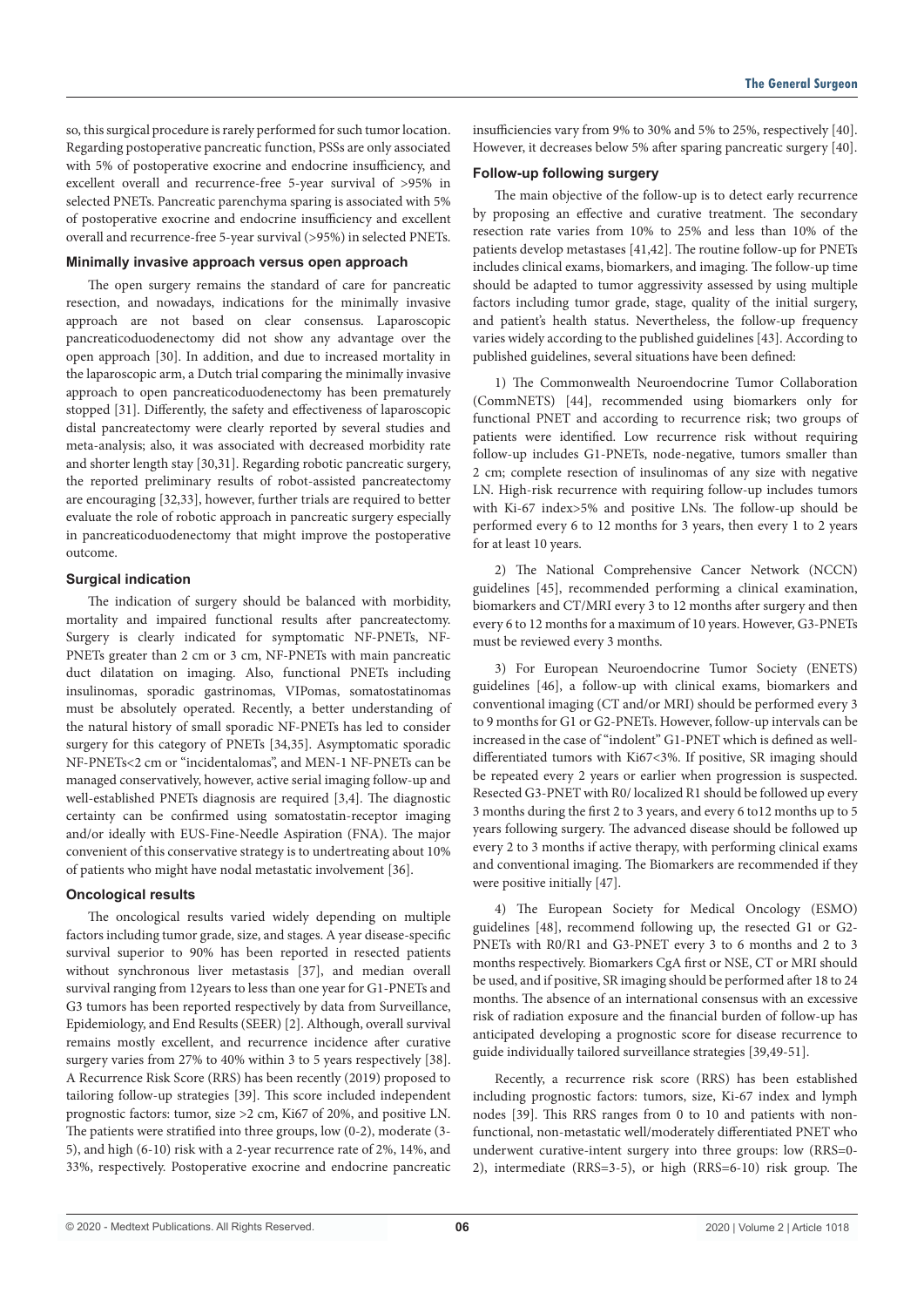so, this surgical procedure is rarely performed for such tumor location. Regarding postoperative pancreatic function, PSSs are only associated with 5% of postoperative exocrine and endocrine insufficiency, and excellent overall and recurrence-free 5-year survival of >95% in selected PNETs. Pancreatic parenchyma sparing is associated with 5% of postoperative exocrine and endocrine insufficiency and excellent overall and recurrence-free 5-year survival (>95%) in selected PNETs.

# **Minimally invasive approach versus open approach**

The open surgery remains the standard of care for pancreatic resection, and nowadays, indications for the minimally invasive approach are not based on clear consensus. Laparoscopic pancreaticoduodenectomy did not show any advantage over the open approach [30]. In addition, and due to increased mortality in the laparoscopic arm, a Dutch trial comparing the minimally invasive approach to open pancreaticoduodenectomy has been prematurely stopped [31]. Differently, the safety and effectiveness of laparoscopic distal pancreatectomy were clearly reported by several studies and meta-analysis; also, it was associated with decreased morbidity rate and shorter length stay [30,31]. Regarding robotic pancreatic surgery, the reported preliminary results of robot-assisted pancreatectomy are encouraging [32,33], however, further trials are required to better evaluate the role of robotic approach in pancreatic surgery especially in pancreaticoduodenectomy that might improve the postoperative outcome.

#### **Surgical indication**

The indication of surgery should be balanced with morbidity, mortality and impaired functional results after pancreatectomy. Surgery is clearly indicated for symptomatic NF-PNETs, NF-PNETs greater than 2 cm or 3 cm, NF-PNETs with main pancreatic duct dilatation on imaging. Also, functional PNETs including insulinomas, sporadic gastrinomas, VIPomas, somatostatinomas must be absolutely operated. Recently, a better understanding of the natural history of small sporadic NF-PNETs has led to consider surgery for this category of PNETs [34,35]. Asymptomatic sporadic NF-PNETs<2 cm or "incidentalomas", and MEN-1 NF-PNETs can be managed conservatively, however, active serial imaging follow-up and well-established PNETs diagnosis are required [3,4]. The diagnostic certainty can be confirmed using somatostatin-receptor imaging and/or ideally with EUS-Fine-Needle Aspiration (FNA). The major convenient of this conservative strategy is to undertreating about 10% of patients who might have nodal metastatic involvement [36].

## **Oncological results**

The oncological results varied widely depending on multiple factors including tumor grade, size, and stages. A year disease-specific survival superior to 90% has been reported in resected patients without synchronous liver metastasis [37], and median overall survival ranging from 12years to less than one year for G1-PNETs and G3 tumors has been reported respectively by data from Surveillance, Epidemiology, and End Results (SEER) [2]. Although, overall survival remains mostly excellent, and recurrence incidence after curative surgery varies from 27% to 40% within 3 to 5 years respectively [38]. A Recurrence Risk Score (RRS) has been recently (2019) proposed to tailoring follow-up strategies [39]. This score included independent prognostic factors: tumor, size >2 cm, Ki67 of 20%, and positive LN. The patients were stratified into three groups, low (0-2), moderate (3- 5), and high (6-10) risk with a 2-year recurrence rate of 2%, 14%, and 33%, respectively. Postoperative exocrine and endocrine pancreatic insufficiencies vary from 9% to 30% and 5% to 25%, respectively [40]. However, it decreases below 5% after sparing pancreatic surgery [40].

#### **Follow-up following surgery**

The main objective of the follow-up is to detect early recurrence by proposing an effective and curative treatment. The secondary resection rate varies from 10% to 25% and less than 10% of the patients develop metastases [41,42]. The routine follow-up for PNETs includes clinical exams, biomarkers, and imaging. The follow-up time should be adapted to tumor aggressivity assessed by using multiple factors including tumor grade, stage, quality of the initial surgery, and patient's health status. Nevertheless, the follow-up frequency varies widely according to the published guidelines [43]. According to published guidelines, several situations have been defined:

1) The Commonwealth Neuroendocrine Tumor Collaboration (CommNETS) [44], recommended using biomarkers only for functional PNET and according to recurrence risk; two groups of patients were identified. Low recurrence risk without requiring follow-up includes G1-PNETs, node-negative, tumors smaller than 2 cm; complete resection of insulinomas of any size with negative LN. High-risk recurrence with requiring follow-up includes tumors with Ki-67 index>5% and positive LNs. The follow-up should be performed every 6 to 12 months for 3 years, then every 1 to 2 years for at least 10 years.

2) The National Comprehensive Cancer Network (NCCN) guidelines [45], recommended performing a clinical examination, biomarkers and CT/MRI every 3 to 12 months after surgery and then every 6 to 12 months for a maximum of 10 years. However, G3-PNETs must be reviewed every 3 months.

3) For European Neuroendocrine Tumor Society (ENETS) guidelines [46], a follow-up with clinical exams, biomarkers and conventional imaging (CT and/or MRI) should be performed every 3 to 9 months for G1 or G2-PNETs. However, follow-up intervals can be increased in the case of "indolent" G1-PNET which is defined as welldifferentiated tumors with Ki67<3%. If positive, SR imaging should be repeated every 2 years or earlier when progression is suspected. Resected G3-PNET with R0/ localized R1 should be followed up every 3 months during the first 2 to 3 years, and every 6 to12 months up to 5 years following surgery. The advanced disease should be followed up every 2 to 3 months if active therapy, with performing clinical exams and conventional imaging. The Biomarkers are recommended if they were positive initially [47].

4) The European Society for Medical Oncology (ESMO) guidelines [48], recommend following up, the resected G1 or G2- PNETs with R0/R1 and G3-PNET every 3 to 6 months and 2 to 3 months respectively. Biomarkers CgA first or NSE, CT or MRI should be used, and if positive, SR imaging should be performed after 18 to 24 months. The absence of an international consensus with an excessive risk of radiation exposure and the financial burden of follow-up has anticipated developing a prognostic score for disease recurrence to guide individually tailored surveillance strategies [39,49-51].

Recently, a recurrence risk score (RRS) has been established including prognostic factors: tumors, size, Ki-67 index and lymph nodes [39]. This RRS ranges from 0 to 10 and patients with nonfunctional, non-metastatic well/moderately differentiated PNET who underwent curative-intent surgery into three groups: low (RRS=0- 2), intermediate (RRS=3-5), or high (RRS=6-10) risk group. The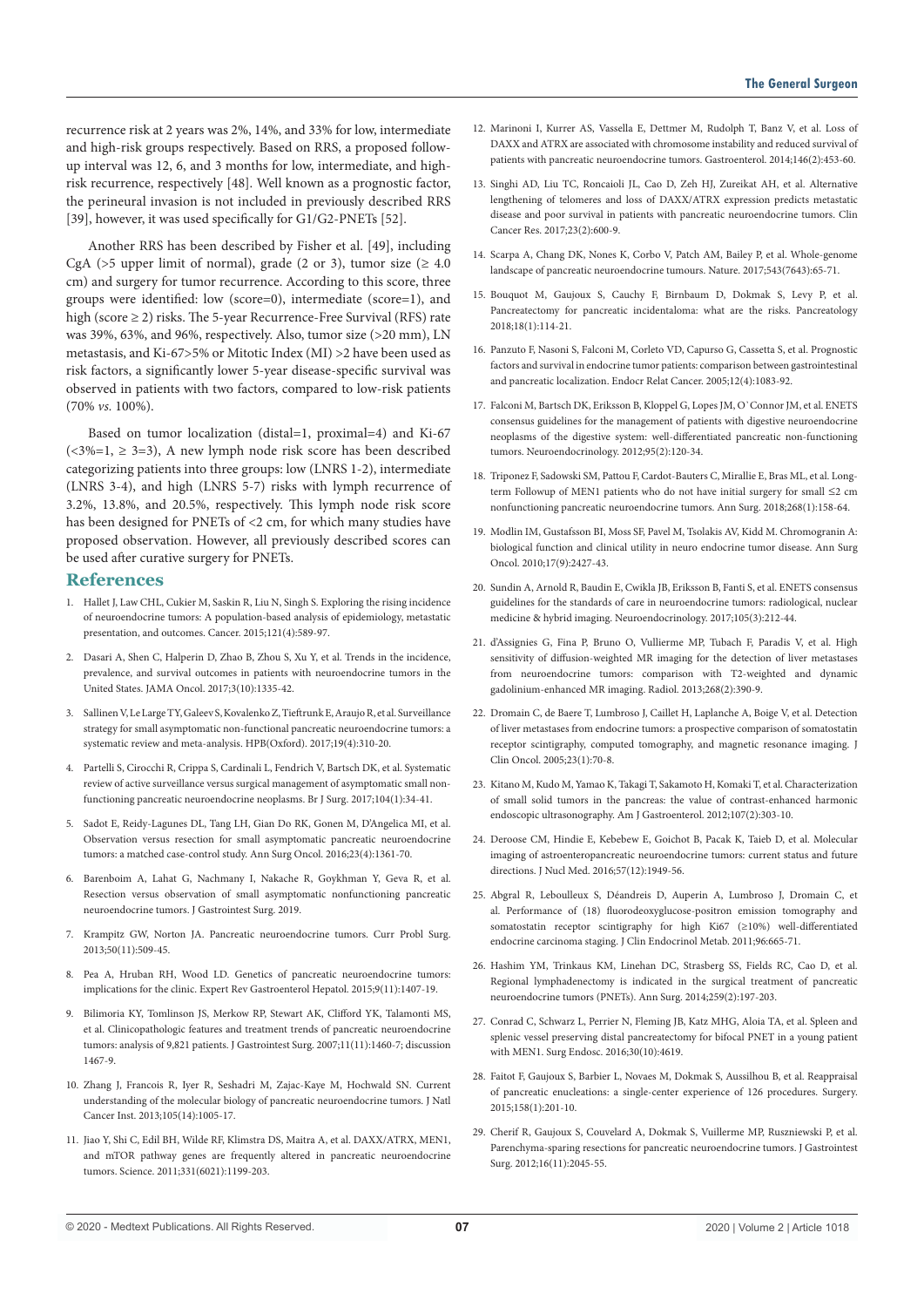recurrence risk at 2 years was 2%, 14%, and 33% for low, intermediate and high-risk groups respectively. Based on RRS, a proposed followup interval was 12, 6, and 3 months for low, intermediate, and highrisk recurrence, respectively [48]. Well known as a prognostic factor, the perineural invasion is not included in previously described RRS [39], however, it was used specifically for G1/G2-PNETs [52].

Another RRS has been described by Fisher et al. [49], including CgA (>5 upper limit of normal), grade (2 or 3), tumor size ( $\geq 4.0$ cm) and surgery for tumor recurrence. According to this score, three groups were identified: low (score=0), intermediate (score=1), and high (score ≥ 2) risks. The 5-year Recurrence-Free Survival (RFS) rate was 39%, 63%, and 96%, respectively. Also, tumor size (>20 mm), LN metastasis, and Ki-67>5% or Mitotic Index (MI) >2 have been used as risk factors, a significantly lower 5-year disease-specific survival was observed in patients with two factors, compared to low-risk patients (70% *vs.* 100%).

Based on tumor localization (distal=1, proximal=4) and Ki-67 (<3%=1,  $\ge$  3=3), A new lymph node risk score has been described categorizing patients into three groups: low (LNRS 1-2), intermediate (LNRS 3-4), and high (LNRS 5-7) risks with lymph recurrence of 3.2%, 13.8%, and 20.5%, respectively. This lymph node risk score has been designed for PNETs of <2 cm, for which many studies have proposed observation. However, all previously described scores can be used after curative surgery for PNETs.

### **References**

- 1. Hallet J, Law CHL, Cukier M, Saskin R, Liu N, Singh S. Exploring the rising incidence of neuroendocrine tumors: A population-based analysis of epidemiology, metastatic presentation, and outcomes. Cancer. 2015;121(4):589-97.
- 2. Dasari A, Shen C, Halperin D, Zhao B, Zhou S, Xu Y, et al. Trends in the incidence, prevalence, and survival outcomes in patients with neuroendocrine tumors in the United States. JAMA Oncol. 2017;3(10):1335-42.
- 3. Sallinen V, Le Large TY, Galeev S, Kovalenko Z, Tieftrunk E, Araujo R, et al. Surveillance strategy for small asymptomatic non-functional pancreatic neuroendocrine tumors: a systematic review and meta-analysis. HPB(Oxford). 2017;19(4):310-20.
- 4. Partelli S, Cirocchi R, Crippa S, Cardinali L, Fendrich V, Bartsch DK, et al. Systematic review of active surveillance versus surgical management of asymptomatic small nonfunctioning pancreatic neuroendocrine neoplasms. Br J Surg. 2017;104(1):34-41.
- 5. Sadot E, Reidy-Lagunes DL, Tang LH, Gian Do RK, Gonen M, D'Angelica MI, et al. Observation versus resection for small asymptomatic pancreatic neuroendocrine tumors: a matched case-control study. Ann Surg Oncol. 2016;23(4):1361-70.
- 6. Barenboim A, Lahat G, Nachmany I, Nakache R, Goykhman Y, Geva R, et al. Resection versus observation of small asymptomatic nonfunctioning pancreatic neuroendocrine tumors. J Gastrointest Surg. 2019.
- 7. Krampitz GW, Norton JA. Pancreatic neuroendocrine tumors. Curr Probl Surg. 2013;50(11):509-45.
- 8. Pea A, Hruban RH, Wood LD. Genetics of pancreatic neuroendocrine tumors: implications for the clinic. Expert Rev Gastroenterol Hepatol. 2015;9(11):1407-19.
- 9. Bilimoria KY, Tomlinson JS, Merkow RP, Stewart AK, Clifford YK, Talamonti MS, et al. Clinicopathologic features and treatment trends of pancreatic neuroendocrine tumors: analysis of 9,821 patients. J Gastrointest Surg. 2007;11(11):1460-7; discussion 1467-9.
- 10. Zhang J, Francois R, Iyer R, Seshadri M, Zajac-Kaye M, Hochwald SN. Current understanding of the molecular biology of pancreatic neuroendocrine tumors. J Natl Cancer Inst. 2013;105(14):1005-17.
- 11. Jiao Y, Shi C, Edil BH, Wilde RF, Klimstra DS, Maitra A, et al. DAXX/ATRX, MEN1, and mTOR pathway genes are frequently altered in pancreatic neuroendocrine tumors. Science. 2011;331(6021):1199-203.
- 12. Marinoni I, Kurrer AS, Vassella E, Dettmer M, Rudolph T, Banz V, et al. Loss of DAXX and ATRX are associated with chromosome instability and reduced survival of patients with pancreatic neuroendocrine tumors. Gastroenterol. 2014;146(2):453-60.
- 13. Singhi AD, Liu TC, Roncaioli JL, Cao D, Zeh HJ, Zureikat AH, et al. Alternative lengthening of telomeres and loss of DAXX/ATRX expression predicts metastatic disease and poor survival in patients with pancreatic neuroendocrine tumors. Clin Cancer Res. 2017;23(2):600-9.
- 14. Scarpa A, Chang DK, Nones K, Corbo V, Patch AM, Bailey P, et al. Whole-genome landscape of pancreatic neuroendocrine tumours. Nature. 2017;543(7643):65-71.
- 15. Bouquot M, Gaujoux S, Cauchy F, Birnbaum D, Dokmak S, Levy P, et al. Pancreatectomy for pancreatic incidentaloma: what are the risks. Pancreatology 2018;18(1):114-21.
- 16. Panzuto F, Nasoni S, Falconi M, Corleto VD, Capurso G, Cassetta S, et al. Prognostic factors and survival in endocrine tumor patients: comparison between gastrointestinal and pancreatic localization. Endocr Relat Cancer. 2005;12(4):1083-92.
- 17. Falconi M, Bartsch DK, Eriksson B, Kloppel G, Lopes JM, O`Connor JM, et al. ENETS consensus guidelines for the management of patients with digestive neuroendocrine neoplasms of the digestive system: well-differentiated pancreatic non-functioning tumors. Neuroendocrinology. 2012;95(2):120-34.
- 18. Triponez F, Sadowski SM, Pattou F, Cardot-Bauters C, Mirallie E, Bras ML, et al. Longterm Followup of MEN1 patients who do not have initial surgery for small ≤2 cm nonfunctioning pancreatic neuroendocrine tumors. Ann Surg. 2018;268(1):158-64.
- 19. Modlin IM, Gustafsson BI, Moss SF, Pavel M, Tsolakis AV, Kidd M. Chromogranin A: biological function and clinical utility in neuro endocrine tumor disease. Ann Surg Oncol. 2010;17(9):2427-43.
- 20. Sundin A, Arnold R, Baudin E, Cwikla JB, Eriksson B, Fanti S, et al. ENETS consensus guidelines for the standards of care in neuroendocrine tumors: radiological, nuclear medicine & hybrid imaging. Neuroendocrinology. 2017;105(3):212-44.
- 21. d'Assignies G, Fina P, Bruno O, Vullierme MP, Tubach F, Paradis V, et al. High sensitivity of diffusion-weighted MR imaging for the detection of liver metastases from neuroendocrine tumors: comparison with T2-weighted and dynamic gadolinium-enhanced MR imaging. Radiol. 2013;268(2):390-9.
- 22. Dromain C, de Baere T, Lumbroso J, Caillet H, Laplanche A, Boige V, et al. Detection of liver metastases from endocrine tumors: a prospective comparison of somatostatin receptor scintigraphy, computed tomography, and magnetic resonance imaging. J Clin Oncol. 2005;23(1):70-8.
- 23. Kitano M, Kudo M, Yamao K, Takagi T, Sakamoto H, Komaki T, et al. Characterization of small solid tumors in the pancreas: the value of contrast-enhanced harmonic endoscopic ultrasonography. Am J Gastroenterol. 2012;107(2):303-10.
- 24. Deroose CM, Hindie E, Kebebew E, Goichot B, Pacak K, Taieb D, et al. Molecular imaging of astroenteropancreatic neuroendocrine tumors: current status and future directions. J Nucl Med. 2016;57(12):1949-56.
- 25. Abgral R, Leboulleux S, Déandreis D, Auperin A, Lumbroso J, Dromain C, et al. Performance of (18) fluorodeoxyglucose-positron emission tomography and somatostatin receptor scintigraphy for high Ki67 (≥10%) well-differentiated endocrine carcinoma staging. J Clin Endocrinol Metab. 2011;96:665-71.
- 26. Hashim YM, Trinkaus KM, Linehan DC, Strasberg SS, Fields RC, Cao D, et al. Regional lymphadenectomy is indicated in the surgical treatment of pancreatic neuroendocrine tumors (PNETs). Ann Surg. 2014;259(2):197-203.
- 27. Conrad C, Schwarz L, Perrier N, Fleming JB, Katz MHG, Aloia TA, et al. Spleen and splenic vessel preserving distal pancreatectomy for bifocal PNET in a young patient with MEN1. Surg Endosc. 2016;30(10):4619.
- 28. Faitot F, Gaujoux S, Barbier L, Novaes M, Dokmak S, Aussilhou B, et al. Reappraisal of pancreatic enucleations: a single-center experience of 126 procedures. Surgery. 2015;158(1):201-10.
- 29. Cherif R, Gaujoux S, Couvelard A, Dokmak S, Vuillerme MP, Ruszniewski P, et al. Parenchyma-sparing resections for pancreatic neuroendocrine tumors. J Gastrointest Surg. 2012;16(11):2045-55.